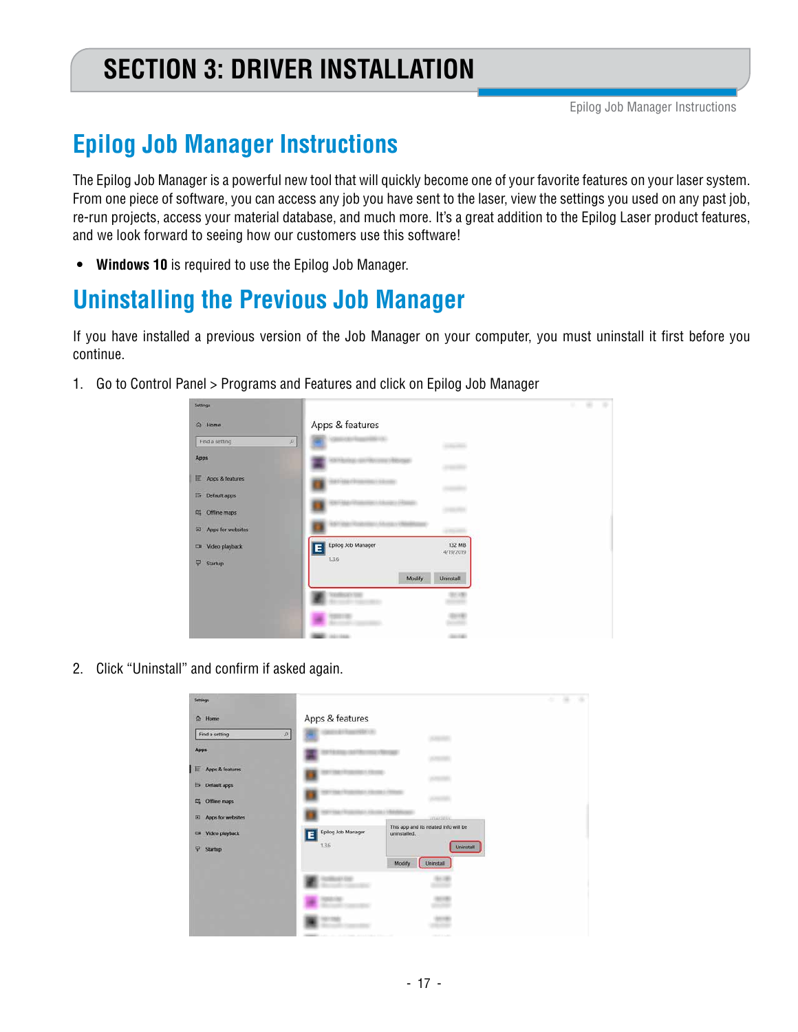# **SECTION 3: DRIVER INSTALLATION**

# **Epilog Job Manager Instructions**

The Epilog Job Manager is a powerful new tool that will quickly become one of your favorite features on your laser system. From one piece of software, you can access any job you have sent to the laser, view the settings you used on any past job, re-run projects, access your material database, and much more. It's a great addition to the Epilog Laser product features, and we look forward to seeing how our customers use this software!

**• Windows 10** is required to use the Epilog Job Manager.

## **Uninstalling the Previous Job Manager**

If you have installed a previous version of the Job Manager on your computer, you must uninstall it first before you continue.

1. Go to Control Panel > Programs and Features and click on Epilog Job Manager

| Settings               |                                                |  |
|------------------------|------------------------------------------------|--|
| @ Home                 | Apps & features                                |  |
| Find a setting         | $\mathcal{D}$                                  |  |
| Apps                   |                                                |  |
| E Apps & features      |                                                |  |
| <b>E5</b> Default apps |                                                |  |
| Offline maps<br>四      |                                                |  |
| Apps for websites<br>回 |                                                |  |
| C# Video playback      | Epilog Job Manager<br>132 MB<br>Ë<br>4/19/2019 |  |
| P<br>Startup           | 13.6                                           |  |
|                        | Modify<br>Uninstall                            |  |
|                        |                                                |  |
|                        | <b>Britt</b>                                   |  |
|                        |                                                |  |

2. Click "Uninstall" and confirm if asked again.

| Settings                                                                                                                                                     |                          |                                                           | ٠ |
|--------------------------------------------------------------------------------------------------------------------------------------------------------------|--------------------------|-----------------------------------------------------------|---|
| & Home                                                                                                                                                       | Apps & features          |                                                           |   |
| $\mathfrak{L}% _{F}=\mathfrak{L}_{F}\!\left( \mathfrak{L}_{F}\right) ,\mathfrak{L}_{F}=\mathfrak{L}_{F}\!\left( \mathfrak{L}_{F}\right) ,$<br>Find a setting |                          |                                                           |   |
| Apps                                                                                                                                                         |                          |                                                           |   |
| <b>IE</b> Apps & features                                                                                                                                    |                          | 20,000,000                                                |   |
| <b>E</b> Default apps                                                                                                                                        |                          |                                                           |   |
| Offline maps<br>$\mathfrak{m}_k$                                                                                                                             |                          | ALC: UNK                                                  |   |
| Apps for websites<br>$\overline{a}$                                                                                                                          |                          | <b>JOHNSTELL</b><br>This app and its related info will be |   |
| C# Video playback                                                                                                                                            | Epilog Job Manager<br>ΙE | uninstalled.                                              |   |
| 9<br>Startup                                                                                                                                                 | 13.6                     | <b>Uninstall</b>                                          |   |
|                                                                                                                                                              |                          | Uninstall<br>Modify                                       |   |
|                                                                                                                                                              |                          |                                                           |   |
|                                                                                                                                                              |                          |                                                           |   |
|                                                                                                                                                              |                          |                                                           |   |
|                                                                                                                                                              |                          |                                                           |   |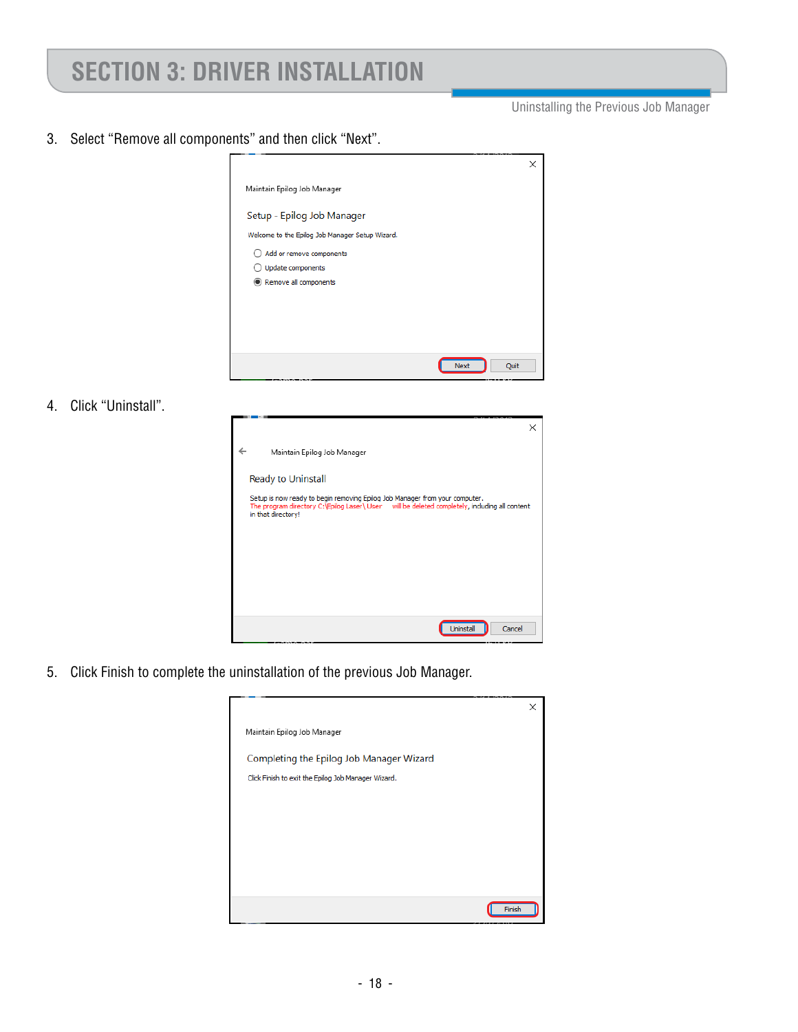Uninstalling the Previous Job Manager

3. Select "Remove all components" and then click "Next".



4. Click "Uninstall".

| Maintain Epilog Job Manager                                                                                                                                                                        |        |
|----------------------------------------------------------------------------------------------------------------------------------------------------------------------------------------------------|--------|
| Ready to Uninstall                                                                                                                                                                                 |        |
| Setup is now ready to begin removing Epilog Job Manager from your computer.<br>The program directory C:\Epilog Laser\ User will be deleted completely, including all content<br>in that directory! |        |
|                                                                                                                                                                                                    |        |
|                                                                                                                                                                                                    |        |
|                                                                                                                                                                                                    |        |
|                                                                                                                                                                                                    | Cancel |
| <b>Uninstall</b>                                                                                                                                                                                   |        |

5. Click Finish to complete the uninstallation of the previous Job Manager.

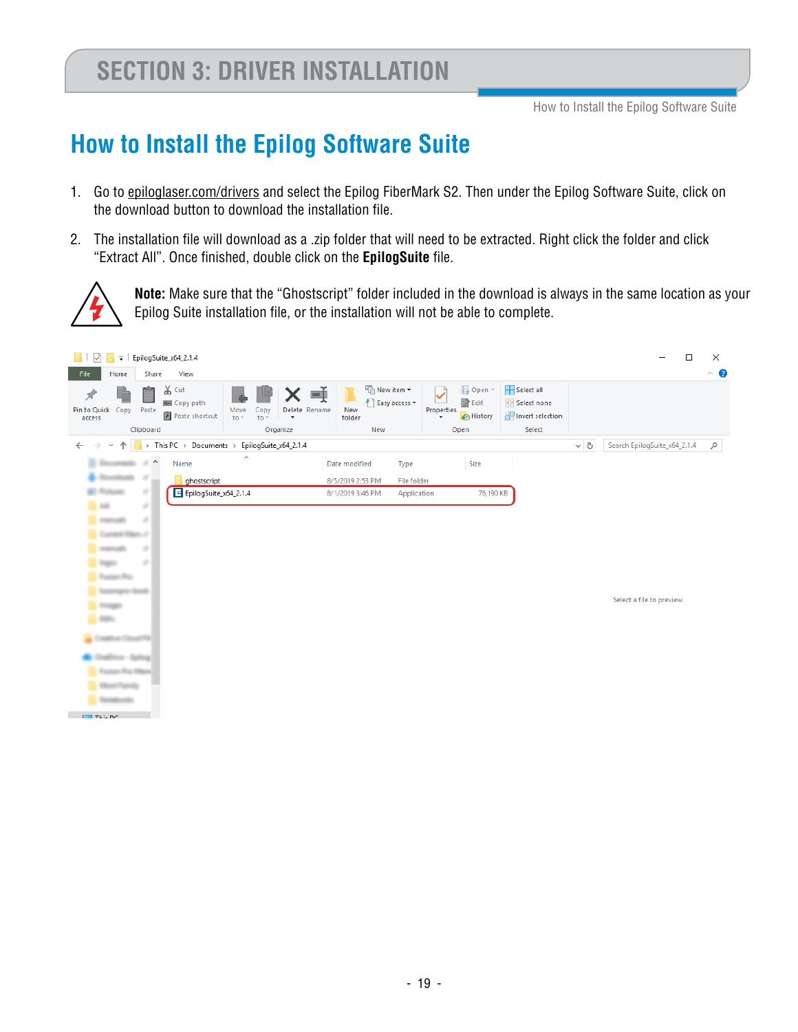# **How to Install the Epilog Software Suite**

- 1. Go to epiloglaser.com/drivers and select the Epilog FiberMark S2. Then under the Epilog Software Suite, click on the download button to download the installation file.
- 2. The installation file will download as a .zip folder that will need to be extracted. Right click the folder and click "Extract All". Once finished, double click on the **EpilogSuite** file.



**Note:** Make sure that the "Ghostscript" folder included in the download is always in the same location as your Epilog Suite installation file, or the installation will not be able to complete.

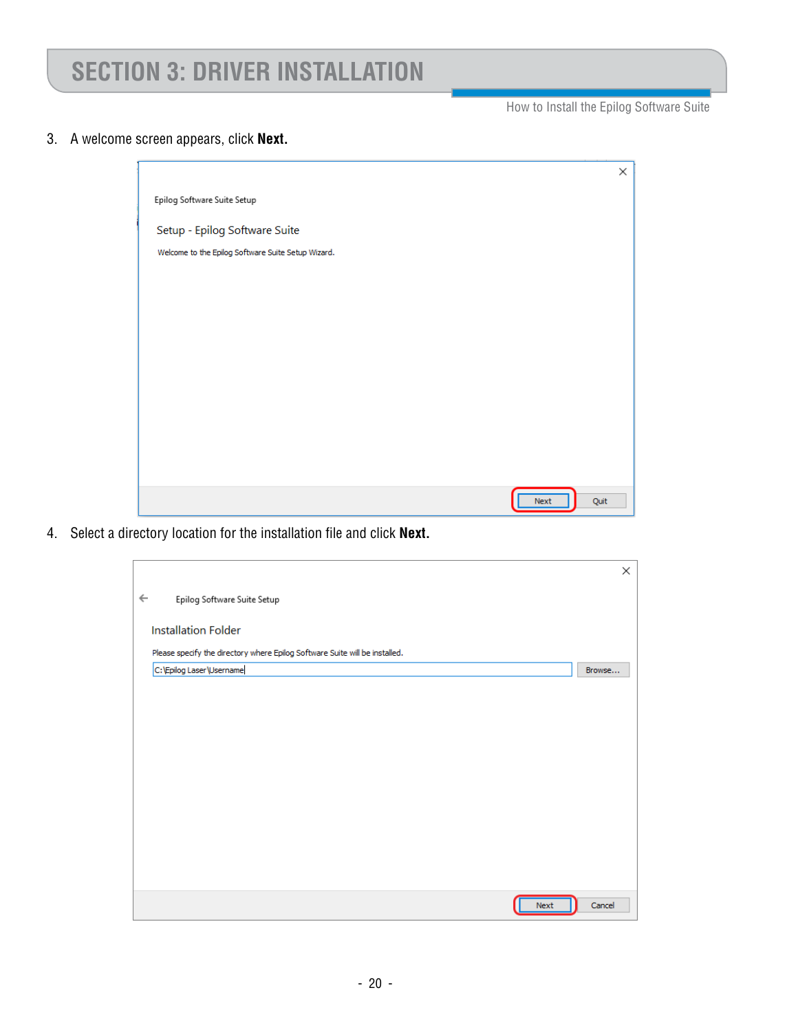How to Install the Epilog Software Suite

3. A welcome screen appears, click **Next.**

|                                                    | × |  |
|----------------------------------------------------|---|--|
| Epilog Software Suite Setup                        |   |  |
| Setup - Epilog Software Suite                      |   |  |
| Welcome to the Epilog Software Suite Setup Wizard. |   |  |
|                                                    |   |  |
|                                                    |   |  |
|                                                    |   |  |
|                                                    |   |  |
|                                                    |   |  |
|                                                    |   |  |
|                                                    |   |  |
|                                                    |   |  |
| Quit<br><b>Next</b>                                |   |  |

4. Select a directory location for the installation file and click **Next.**

|                                                                             | ×      |
|-----------------------------------------------------------------------------|--------|
| $\leftarrow$<br>Epilog Software Suite Setup                                 |        |
| <b>Installation Folder</b>                                                  |        |
| Please specify the directory where Epilog Software Suite will be installed. |        |
| C: \Epilog Laser \Username                                                  | Browse |
|                                                                             |        |
|                                                                             |        |
|                                                                             |        |
|                                                                             |        |
|                                                                             |        |
|                                                                             |        |
|                                                                             |        |
|                                                                             |        |
|                                                                             |        |
|                                                                             |        |
| <b>Next</b>                                                                 | Cancel |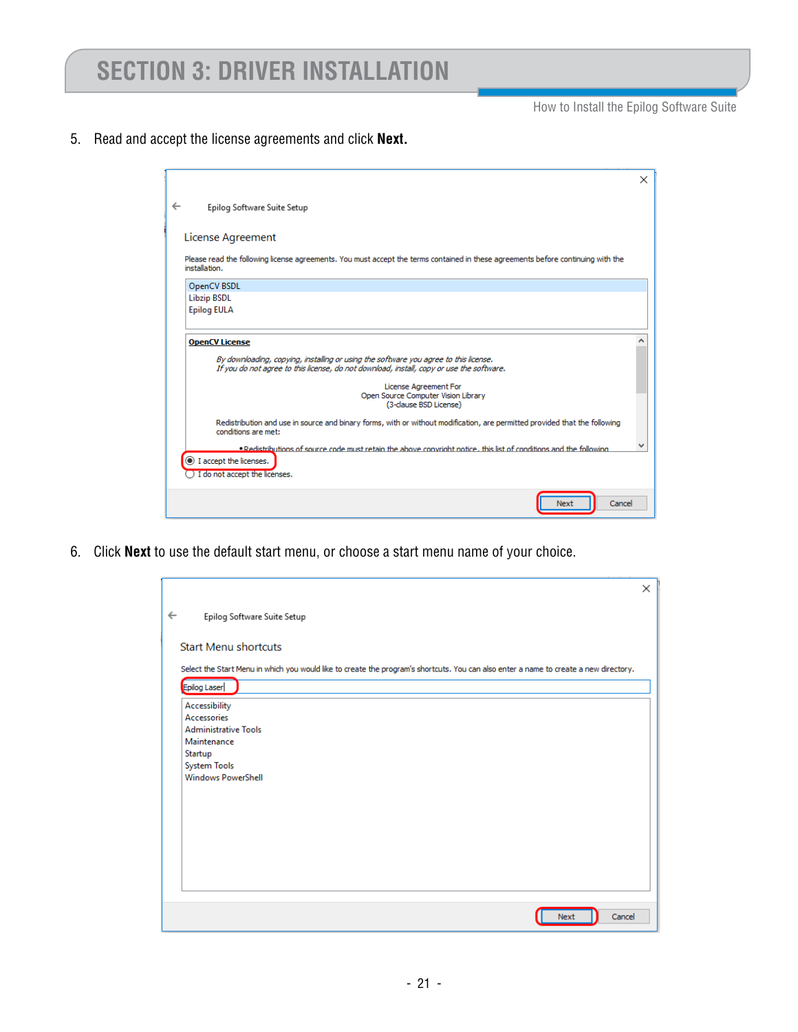How to Install the Epilog Software Suite

5. Read and accept the license agreements and click **Next.** 

|                                                                                                                                                                                                           | $\times$ |
|-----------------------------------------------------------------------------------------------------------------------------------------------------------------------------------------------------------|----------|
| $\leftarrow$<br>Epilog Software Suite Setup                                                                                                                                                               |          |
| License Agreement                                                                                                                                                                                         |          |
| Please read the following license agreements. You must accept the terms contained in these agreements before continuing with the<br>installation.                                                         |          |
| OpenCV BSDL                                                                                                                                                                                               |          |
| <b>Libzip BSDL</b>                                                                                                                                                                                        |          |
| <b>Epilog EULA</b>                                                                                                                                                                                        |          |
| <b>OpenCV License</b><br>By downloading, copying, installing or using the software you agree to this license.<br>If you do not agree to this license, do not download, install, copy or use the software. |          |
| License Agreement For                                                                                                                                                                                     |          |
| Open Source Computer Vision Library<br>(3-clause BSD License)                                                                                                                                             |          |
| Redistribution and use in source and binary forms, with or without modification, are permitted provided that the following<br>conditions are met:                                                         |          |
| . Redistributions of source code must retain the above convright notice, this list of conditions and the following<br>1 accept the licenses.<br>I do not accept the licenses.                             |          |
| Cancel<br>Next                                                                                                                                                                                            |          |

6. Click **Next** to use the default start menu, or choose a start menu name of your choice.

|                                                                                                                                       | $\times$ |
|---------------------------------------------------------------------------------------------------------------------------------------|----------|
| $\leftarrow$<br>Epilog Software Suite Setup                                                                                           |          |
|                                                                                                                                       |          |
| <b>Start Menu shortcuts</b>                                                                                                           |          |
| Select the Start Menu in which you would like to create the program's shortcuts. You can also enter a name to create a new directory. |          |
| Epilog Laser                                                                                                                          |          |
| Accessibility                                                                                                                         |          |
| Accessories<br><b>Administrative Tools</b>                                                                                            |          |
| Maintenance                                                                                                                           |          |
| Startup                                                                                                                               |          |
| <b>System Tools</b><br><b>Windows PowerShell</b>                                                                                      |          |
|                                                                                                                                       |          |
|                                                                                                                                       |          |
|                                                                                                                                       |          |
|                                                                                                                                       |          |
|                                                                                                                                       |          |
|                                                                                                                                       |          |
|                                                                                                                                       |          |
|                                                                                                                                       |          |
| Cancel<br>Next                                                                                                                        |          |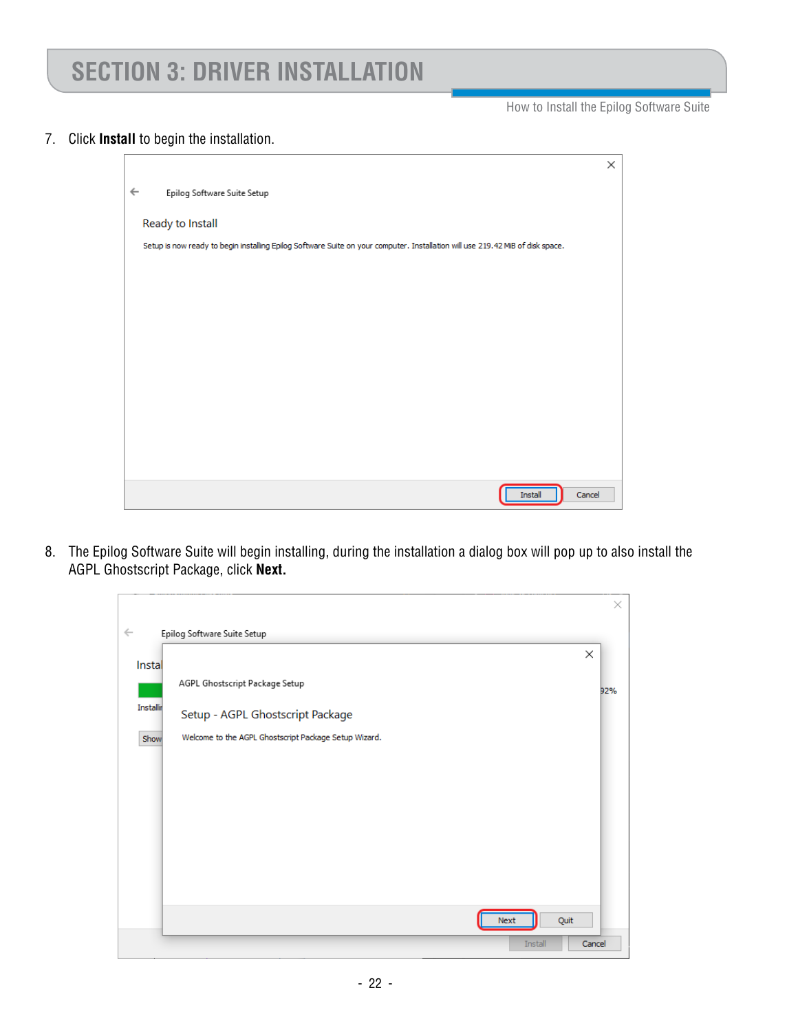How to Install the Epilog Software Suite

#### 7. Click **Install** to begin the installation.

|                                                                                                                                | × |
|--------------------------------------------------------------------------------------------------------------------------------|---|
| $\leftarrow$<br>Epilog Software Suite Setup                                                                                    |   |
| Ready to Install                                                                                                               |   |
| Setup is now ready to begin installing Epilog Software Suite on your computer. Installation will use 219.42 MiB of disk space. |   |
|                                                                                                                                |   |
|                                                                                                                                |   |
|                                                                                                                                |   |
|                                                                                                                                |   |
|                                                                                                                                |   |
|                                                                                                                                |   |
|                                                                                                                                |   |
|                                                                                                                                |   |
| Cancel<br><b>Install</b>                                                                                                       |   |

8. The Epilog Software Suite will begin installing, during the installation a dialog box will pop up to also install the AGPL Ghostscript Package, click **Next.**

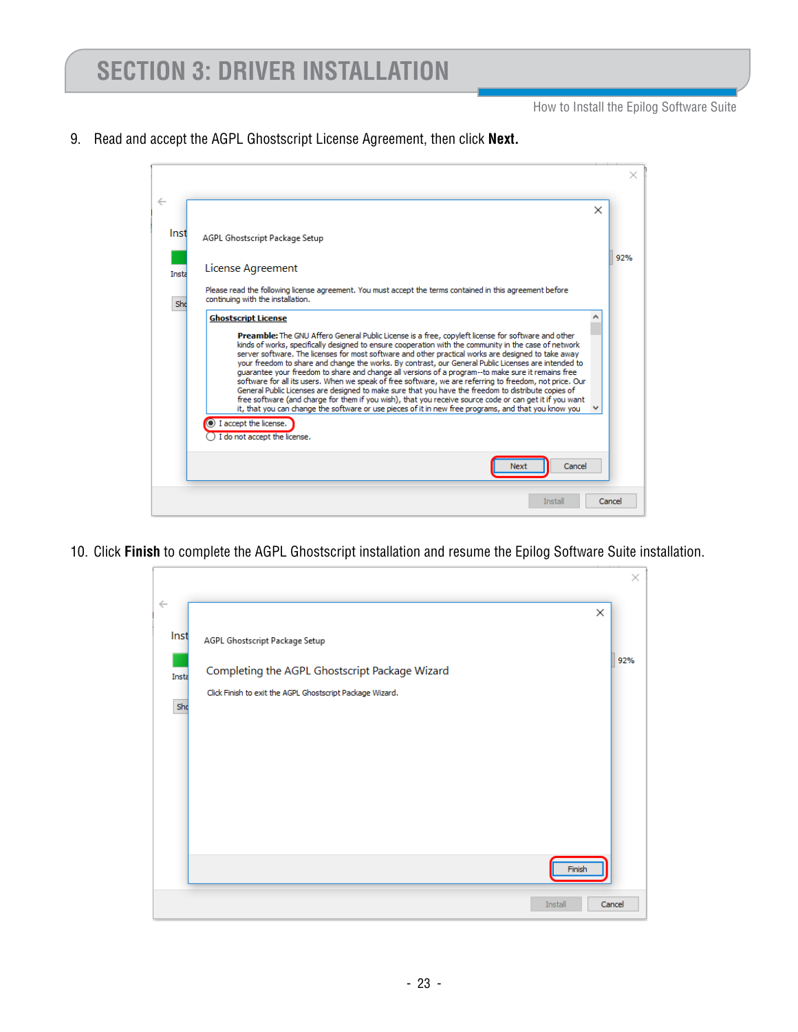How to Install the Epilog Software Suite

9. Read and accept the AGPL Ghostscript License Agreement, then click **Next.**



10. Click **Finish** to complete the AGPL Ghostscript installation and resume the Epilog Software Suite installation.

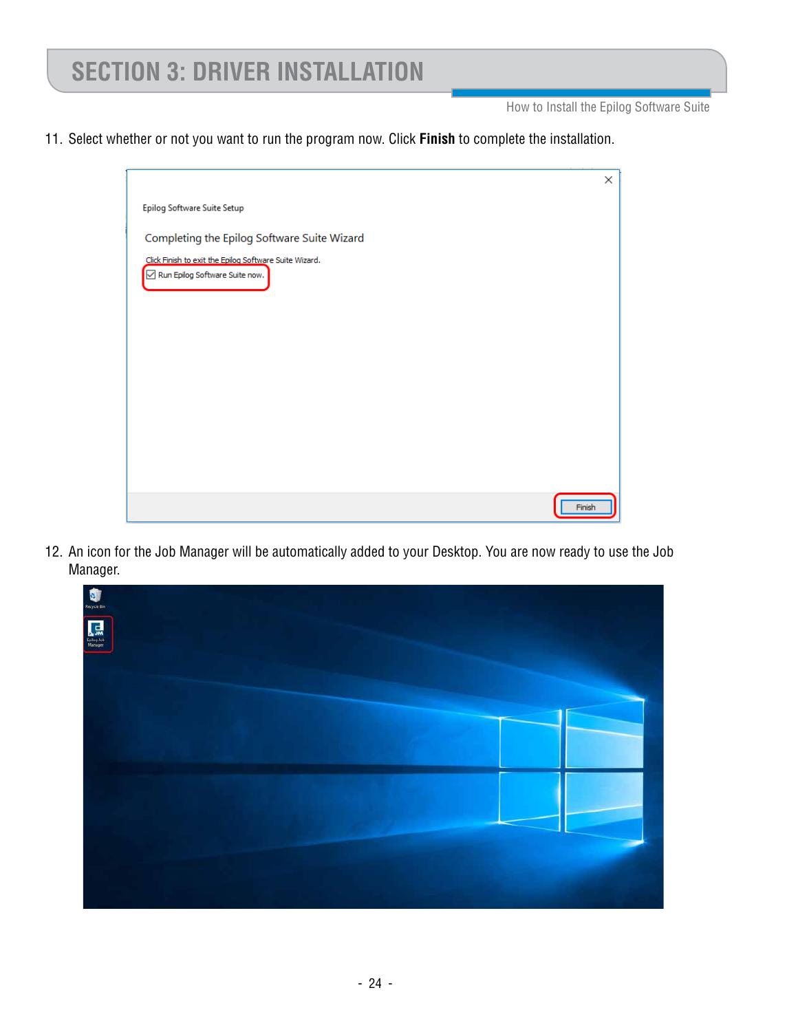How to Install the Epilog Software Suite

11. Select whether or not you want to run the program now. Click **Finish** to complete the installation.



12. An icon for the Job Manager will be automatically added to your Desktop. You are now ready to use the Job Manager.

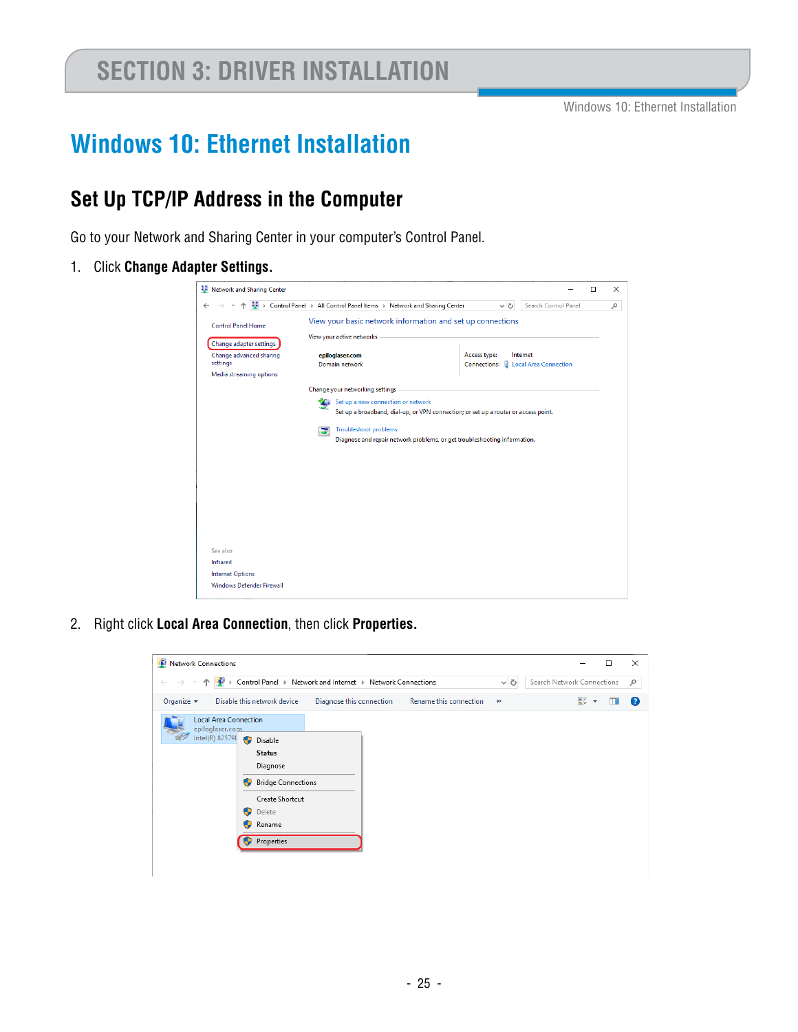## **Windows 10: Ethernet Installation**

#### **Set Up TCP/IP Address in the Computer**

Go to your Network and Sharing Center in your computer's Control Panel.

1. Click **Change Adapter Settings.** 



2. Right click **Local Area Connection**, then click **Properties.**

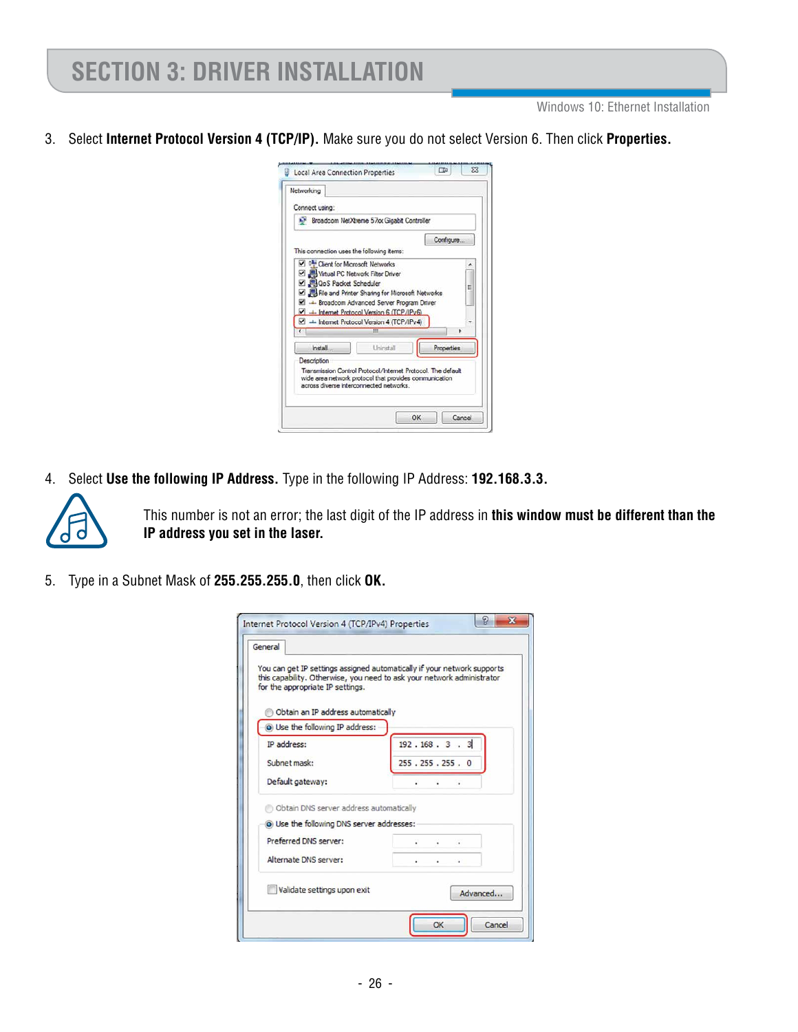Windows 10: Ethernet Installation

3. Select **Internet Protocol Version 4 (TCP/IP).** Make sure you do not select Version 6. Then click **Properties.**



4. Select **Use the following IP Address.** Type in the following IP Address: **192.168.3.3.** 



This number is not an error; the last digit of the IP address in **this window must be different than the IP address you set in the laser.** 

5. Type in a Subnet Mask of **255.255.255.0**, then click **OK.**

| General                                   |                                                                                                                                                   |
|-------------------------------------------|---------------------------------------------------------------------------------------------------------------------------------------------------|
| for the appropriate IP settings.          | You can get IP settings assigned automatically if your network supports<br>this capability. Otherwise, you need to ask your network administrator |
| Obtain an IP address automatically        |                                                                                                                                                   |
| O Use the following IP address:           |                                                                                                                                                   |
| IP address:                               | 192.168.3.3                                                                                                                                       |
| Subnet mask:                              | 255.255.255.0                                                                                                                                     |
| Default gateway:                          |                                                                                                                                                   |
| Obtain DNS server address automatically   |                                                                                                                                                   |
| O Use the following DNS server addresses: |                                                                                                                                                   |
| Preferred DNS server:                     |                                                                                                                                                   |
| Alternate DNS server:                     |                                                                                                                                                   |
| Validate settings upon exit               | Advanced                                                                                                                                          |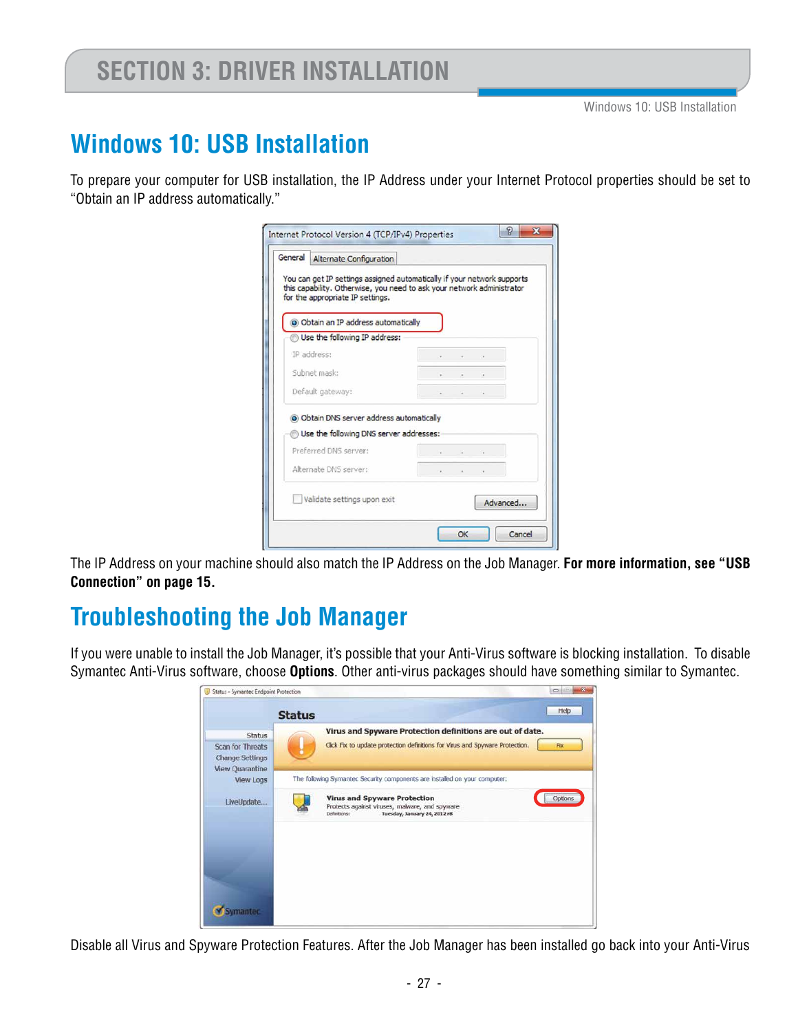### **Windows 10: USB Installation**

To prepare your computer for USB installation, the IP Address under your Internet Protocol properties should be set to "Obtain an IP address automatically."

| General Alternate Configuration                                                                                                                                                       |                                 |                          |                                                                                                                                                                                                                                                                                                                                                                                                                                       |          |
|---------------------------------------------------------------------------------------------------------------------------------------------------------------------------------------|---------------------------------|--------------------------|---------------------------------------------------------------------------------------------------------------------------------------------------------------------------------------------------------------------------------------------------------------------------------------------------------------------------------------------------------------------------------------------------------------------------------------|----------|
| You can get IP settings assigned automatically if your network supports<br>this capability. Otherwise, you need to ask your network administrator<br>for the appropriate IP settings. |                                 |                          |                                                                                                                                                                                                                                                                                                                                                                                                                                       |          |
|                                                                                                                                                                                       |                                 |                          |                                                                                                                                                                                                                                                                                                                                                                                                                                       |          |
| O Obtain an IP address automatically                                                                                                                                                  |                                 |                          |                                                                                                                                                                                                                                                                                                                                                                                                                                       |          |
| Use the following IP address:                                                                                                                                                         |                                 |                          |                                                                                                                                                                                                                                                                                                                                                                                                                                       |          |
| IP address:                                                                                                                                                                           | The contract of the contract of |                          |                                                                                                                                                                                                                                                                                                                                                                                                                                       |          |
| Subnet mask:                                                                                                                                                                          |                                 | the contract of the con- |                                                                                                                                                                                                                                                                                                                                                                                                                                       |          |
| Default gateway:                                                                                                                                                                      |                                 |                          | $\begin{array}{cccccccccccccc} \mathbf{1} & \mathbf{1} & \mathbf{1} & \mathbf{1} & \mathbf{1} & \mathbf{1} & \mathbf{1} & \mathbf{1} & \mathbf{1} & \mathbf{1} & \mathbf{1} & \mathbf{1} & \mathbf{1} & \mathbf{1} & \mathbf{1} & \mathbf{1} & \mathbf{1} & \mathbf{1} & \mathbf{1} & \mathbf{1} & \mathbf{1} & \mathbf{1} & \mathbf{1} & \mathbf{1} & \mathbf{1} & \mathbf{1} & \mathbf{1} & \mathbf{1} & \mathbf{1} & \mathbf{1} &$ |          |
| O Obtain DNS server address automatically                                                                                                                                             |                                 |                          |                                                                                                                                                                                                                                                                                                                                                                                                                                       |          |
| Use the following DNS server addresses:                                                                                                                                               |                                 |                          |                                                                                                                                                                                                                                                                                                                                                                                                                                       |          |
| Preferred DNS server:                                                                                                                                                                 | the contract of the con-        |                          |                                                                                                                                                                                                                                                                                                                                                                                                                                       |          |
| Alternate DNS server:                                                                                                                                                                 | The control of the control      |                          |                                                                                                                                                                                                                                                                                                                                                                                                                                       |          |
| Validate settings upon exit                                                                                                                                                           |                                 |                          |                                                                                                                                                                                                                                                                                                                                                                                                                                       | Advanced |

The IP Address on your machine should also match the IP Address on the Job Manager. **For more information, see "USB Connection" on page 15.**

#### **Troubleshooting the Job Manager**

If you were unable to install the Job Manager, it's possible that your Anti-Virus software is blocking installation. To disable Symantec Anti-Virus software, choose **Options**. Other anti-virus packages should have something similar to Symantec.

|                                                                    | <b>Status</b> |                                                                                                                                           | Help    |
|--------------------------------------------------------------------|---------------|-------------------------------------------------------------------------------------------------------------------------------------------|---------|
| <b>Status</b><br><b>Scan for Threats</b><br><b>Change Settings</b> |               | Virus and Spyware Protection definitions are out of date.<br>Click For to update protection definitions for Virus and Spyware Protection. | Fix     |
| <b>View Quarantine</b><br><b>View Logs</b>                         |               | The following Symantec Security components are installed on your computer:                                                                |         |
| LiveUpdate                                                         | Definitions:  | <b>Virus and Spyware Protection</b><br>Protects against viruses, malware, and spyware<br>Tuesday, January 24, 2012 rB                     | Options |
|                                                                    |               |                                                                                                                                           |         |

Disable all Virus and Spyware Protection Features. After the Job Manager has been installed go back into your Anti-Virus